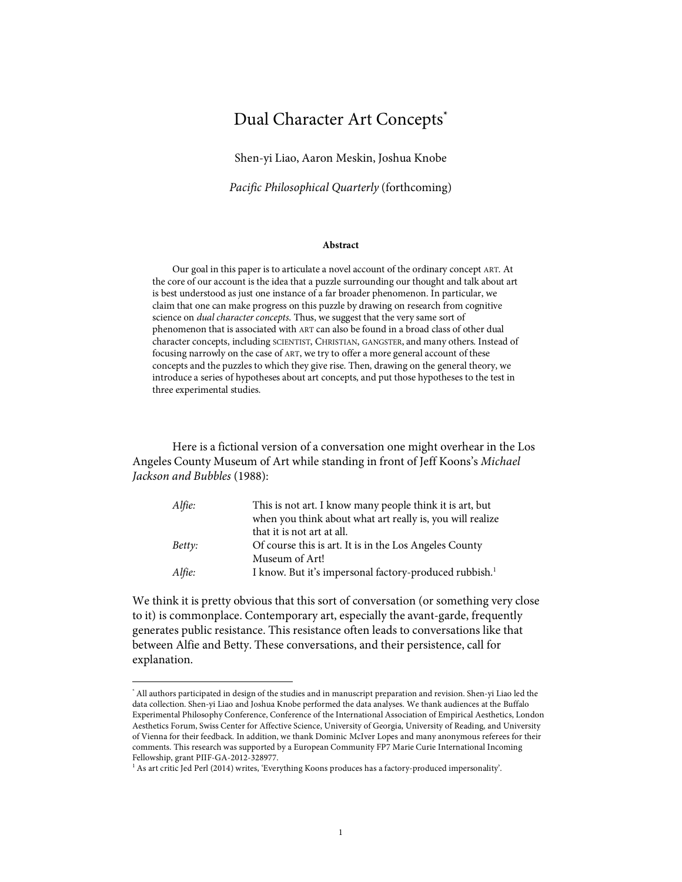# Dual Character Art Concepts**\***

Shen-yi Liao, Aaron Meskin, Joshua Knobe

*Pacific Philosophical Quarterly* (forthcoming)

#### **Abstract**

Our goal in this paper is to articulate a novel account of the ordinary concept ART. At the core of our account is the idea that a puzzle surrounding our thought and talk about art is best understood as just one instance of a far broader phenomenon. In particular, we claim that one can make progress on this puzzle by drawing on research from cognitive science on *dual character concepts*. Thus, we suggest that the very same sort of phenomenon that is associated with ART can also be found in a broad class of other dual character concepts, including SCIENTIST, CHRISTIAN, GANGSTER, and many others. Instead of focusing narrowly on the case of ART, we try to offer a more general account of these concepts and the puzzles to which they give rise. Then, drawing on the general theory, we introduce a series of hypotheses about art concepts, and put those hypotheses to the test in three experimental studies.

Here is a fictional version of a conversation one might overhear in the Los Angeles County Museum of Art while standing in front of Jeff Koons's *Michael Jackson and Bubbles* (1988):

| Alfie: | This is not art. I know many people think it is art, but           |
|--------|--------------------------------------------------------------------|
|        | when you think about what art really is, you will realize          |
|        | that it is not art at all.                                         |
| Betty: | Of course this is art. It is in the Los Angeles County             |
|        | Museum of Art!                                                     |
| Alfie: | I know. But it's impersonal factory-produced rubbish. <sup>1</sup> |

We think it is pretty obvious that this sort of conversation (or something very close to it) is commonplace. Contemporary art, especially the avant-garde, frequently generates public resistance. This resistance often leads to conversations like that between Alfie and Betty. These conversations, and their persistence, call for explanation.

<sup>\*</sup> All authors participated in design of the studies and in manuscript preparation and revision. Shen-yi Liao led the data collection. Shen-yi Liao and Joshua Knobe performed the data analyses. We thank audiences at the Buffalo Experimental Philosophy Conference, Conference of the International Association of Empirical Aesthetics, London Aesthetics Forum, Swiss Center for Affective Science, University of Georgia, University of Reading, and University of Vienna for their feedback. In addition, we thank Dominic McIver Lopes and many anonymous referees for their comments. This research was supported by a European Community FP7 Marie Curie International Incoming Fellowship, grant PIIF-GA-2012-328977.

<sup>1</sup> As art critic Jed Perl (2014) writes, 'Everything Koons produces has a factory-produced impersonality'.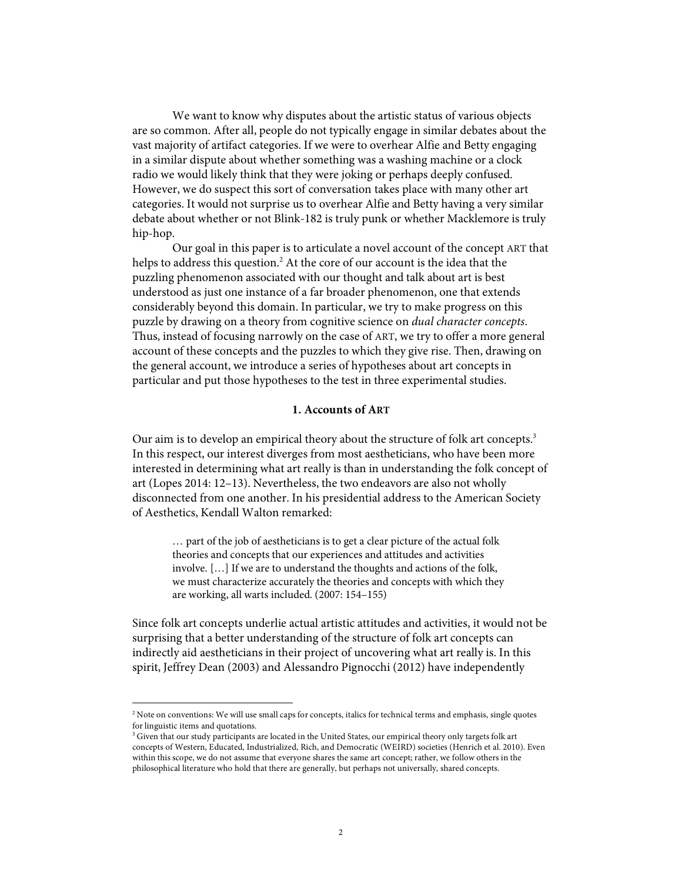We want to know why disputes about the artistic status of various objects are so common. After all, people do not typically engage in similar debates about the vast majority of artifact categories. If we were to overhear Alfie and Betty engaging in a similar dispute about whether something was a washing machine or a clock radio we would likely think that they were joking or perhaps deeply confused. However, we do suspect this sort of conversation takes place with many other art categories. It would not surprise us to overhear Alfie and Betty having a very similar debate about whether or not Blink-182 is truly punk or whether Macklemore is truly hip-hop.

Our goal in this paper is to articulate a novel account of the concept ART that helps to address this question.<sup>2</sup> At the core of our account is the idea that the puzzling phenomenon associated with our thought and talk about art is best understood as just one instance of a far broader phenomenon, one that extends considerably beyond this domain. In particular, we try to make progress on this puzzle by drawing on a theory from cognitive science on *dual character concepts*. Thus, instead of focusing narrowly on the case of ART, we try to offer a more general account of these concepts and the puzzles to which they give rise. Then, drawing on the general account, we introduce a series of hypotheses about art concepts in particular and put those hypotheses to the test in three experimental studies.

#### **1. Accounts of ART**

Our aim is to develop an empirical theory about the structure of folk art concepts.<sup>3</sup> In this respect, our interest diverges from most aestheticians, who have been more interested in determining what art really is than in understanding the folk concept of art (Lopes 2014: 12–13). Nevertheless, the two endeavors are also not wholly disconnected from one another. In his presidential address to the American Society of Aesthetics, Kendall Walton remarked:

… part of the job of aestheticians is to get a clear picture of the actual folk theories and concepts that our experiences and attitudes and activities involve. […] If we are to understand the thoughts and actions of the folk, we must characterize accurately the theories and concepts with which they are working, all warts included. (2007: 154–155)

Since folk art concepts underlie actual artistic attitudes and activities, it would not be surprising that a better understanding of the structure of folk art concepts can indirectly aid aestheticians in their project of uncovering what art really is. In this spirit, Jeffrey Dean (2003) and Alessandro Pignocchi (2012) have independently

<sup>&</sup>lt;sup>2</sup> Note on conventions: We will use small caps for concepts, italics for technical terms and emphasis, single quotes for linguistic items and quotations.

<sup>&</sup>lt;sup>3</sup> Given that our study participants are located in the United States, our empirical theory only targets folk art concepts of Western, Educated, Industrialized, Rich, and Democratic (WEIRD) societies (Henrich et al. 2010). Even within this scope, we do not assume that everyone shares the same art concept; rather, we follow others in the philosophical literature who hold that there are generally, but perhaps not universally, shared concepts.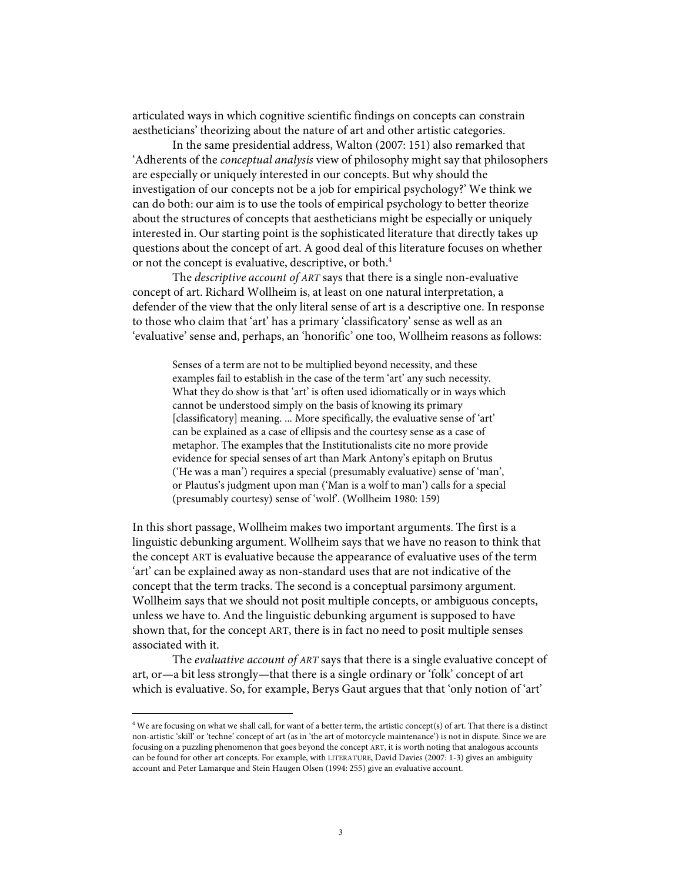articulated ways in which cognitive scientific findings on concepts can constrain aestheticians' theorizing about the nature of art and other artistic categories.

In the same presidential address, Walton (2007: 151) also remarked that 'Adherents of the *conceptual analysis* view of philosophy might say that philosophers are especially or uniquely interested in our concepts. But why should the investigation of our concepts not be a job for empirical psychology?' We think we can do both: our aim is to use the tools of empirical psychology to better theorize about the structures of concepts that aestheticians might be especially or uniquely interested in. Our starting point is the sophisticated literature that directly takes up questions about the concept of art. A good deal of this literature focuses on whether or not the concept is evaluative, descriptive, or both.<sup>4</sup>

The *descriptive account of ART* says that there is a single non-evaluative concept of art. Richard Wollheim is, at least on one natural interpretation, a defender of the view that the only literal sense of art is a descriptive one. In response to those who claim that 'art' has a primary 'classificatory' sense as well as an 'evaluative' sense and, perhaps, an 'honorific' one too, Wollheim reasons as follows:

Senses of a term are not to be multiplied beyond necessity, and these examples fail to establish in the case of the term 'art' any such necessity. What they do show is that 'art' is often used idiomatically or in ways which cannot be understood simply on the basis of knowing its primary [classificatory] meaning. ... More specifically, the evaluative sense of 'art' can be explained as a case of ellipsis and the courtesy sense as a case of metaphor. The examples that the Institutionalists cite no more provide evidence for special senses of art than Mark Antony's epitaph on Brutus ('He was a man') requires a special (presumably evaluative) sense of 'man', or Plautus's judgment upon man ('Man is a wolf to man') calls for a special (presumably courtesy) sense of 'wolf'. (Wollheim 1980: 159)

In this short passage, Wollheim makes two important arguments. The first is a linguistic debunking argument. Wollheim says that we have no reason to think that the concept ART is evaluative because the appearance of evaluative uses of the term 'art' can be explained away as non-standard uses that are not indicative of the concept that the term tracks. The second is a conceptual parsimony argument. Wollheim says that we should not posit multiple concepts, or ambiguous concepts, unless we have to. And the linguistic debunking argument is supposed to have shown that, for the concept ART, there is in fact no need to posit multiple senses associated with it.

The *evaluative account of ART* says that there is a single evaluative concept of art, or—a bit less strongly—that there is a single ordinary or 'folk' concept of art which is evaluative. So, for example, Berys Gaut argues that that 'only notion of 'art'

<u>.</u>

 $4$  We are focusing on what we shall call, for want of a better term, the artistic concept(s) of art. That there is a distinct non-artistic 'skill' or 'techne' concept of art (as in 'the art of motorcycle maintenance') is not in dispute. Since we are focusing on a puzzling phenomenon that goes beyond the concept ART, it is worth noting that analogous accounts can be found for other art concepts. For example, with LITERATURE, David Davies (2007: 1-3) gives an ambiguity account and Peter Lamarque and Stein Haugen Olsen (1994: 255) give an evaluative account.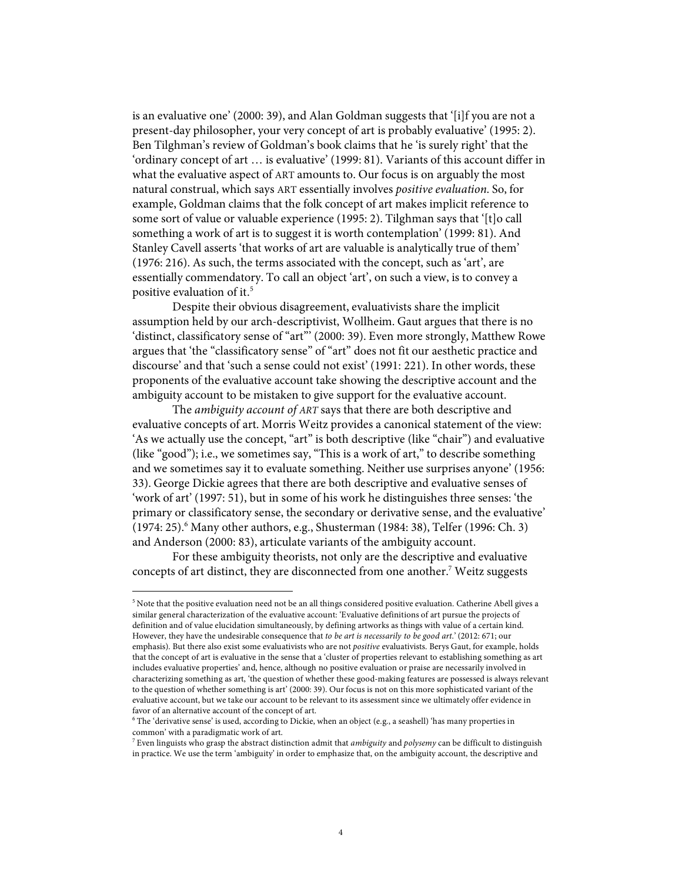is an evaluative one' (2000: 39), and Alan Goldman suggests that '[i]f you are not a present-day philosopher, your very concept of art is probably evaluative' (1995: 2). Ben Tilghman's review of Goldman's book claims that he 'is surely right' that the 'ordinary concept of art … is evaluative' (1999: 81). Variants of this account differ in what the evaluative aspect of ART amounts to. Our focus is on arguably the most natural construal, which says ART essentially involves *positive evaluation*. So, for example, Goldman claims that the folk concept of art makes implicit reference to some sort of value or valuable experience (1995: 2). Tilghman says that '[t]o call something a work of art is to suggest it is worth contemplation' (1999: 81). And Stanley Cavell asserts 'that works of art are valuable is analytically true of them' (1976: 216). As such, the terms associated with the concept, such as 'art', are essentially commendatory. To call an object 'art', on such a view, is to convey a positive evaluation of it.<sup>5</sup>

Despite their obvious disagreement, evaluativists share the implicit assumption held by our arch-descriptivist, Wollheim. Gaut argues that there is no 'distinct, classificatory sense of "art"' (2000: 39). Even more strongly, Matthew Rowe argues that 'the "classificatory sense" of "art" does not fit our aesthetic practice and discourse' and that 'such a sense could not exist' (1991: 221). In other words, these proponents of the evaluative account take showing the descriptive account and the ambiguity account to be mistaken to give support for the evaluative account.

The *ambiguity account of ART* says that there are both descriptive and evaluative concepts of art. Morris Weitz provides a canonical statement of the view: 'As we actually use the concept, "art" is both descriptive (like "chair") and evaluative (like "good"); i.e., we sometimes say, "This is a work of art," to describe something and we sometimes say it to evaluate something. Neither use surprises anyone' (1956: 33). George Dickie agrees that there are both descriptive and evaluative senses of 'work of art' (1997: 51), but in some of his work he distinguishes three senses: 'the primary or classificatory sense, the secondary or derivative sense, and the evaluative' (1974: 25).<sup>6</sup> Many other authors, e.g., Shusterman (1984: 38), Telfer (1996: Ch. 3) and Anderson (2000: 83), articulate variants of the ambiguity account.

For these ambiguity theorists, not only are the descriptive and evaluative concepts of art distinct, they are disconnected from one another.<sup>7</sup> Weitz suggests

 $5$  Note that the positive evaluation need not be an all things considered positive evaluation. Catherine Abell gives a similar general characterization of the evaluative account: 'Evaluative definitions of art pursue the projects of definition and of value elucidation simultaneously, by defining artworks as things with value of a certain kind. However, they have the undesirable consequence that *to be art is necessarily to be good art*.' (2012: 671; our emphasis). But there also exist some evaluativists who are not *positive* evaluativists. Berys Gaut, for example, holds that the concept of art is evaluative in the sense that a 'cluster of properties relevant to establishing something as art includes evaluative properties' and, hence, although no positive evaluation or praise are necessarily involved in characterizing something as art, 'the question of whether these good-making features are possessed is always relevant to the question of whether something is art' (2000: 39). Our focus is not on this more sophisticated variant of the evaluative account, but we take our account to be relevant to its assessment since we ultimately offer evidence in favor of an alternative account of the concept of art.

 $6$  The 'derivative sense' is used, according to Dickie, when an object (e.g., a seashell) 'has many properties in common' with a paradigmatic work of art.

<sup>7</sup> Even linguists who grasp the abstract distinction admit that *ambiguity* and *polysemy* can be difficult to distinguish in practice. We use the term 'ambiguity' in order to emphasize that, on the ambiguity account, the descriptive and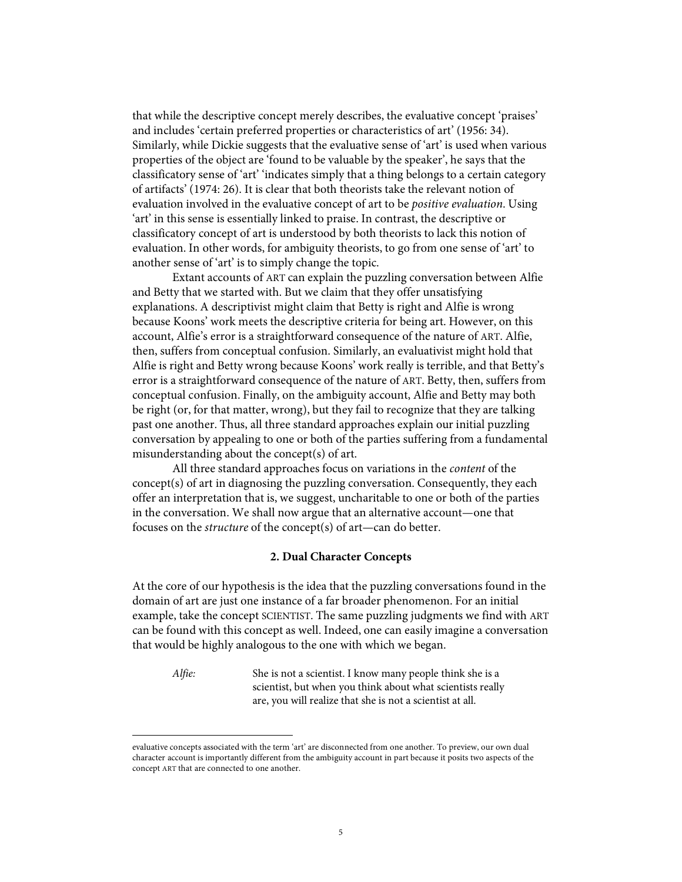that while the descriptive concept merely describes, the evaluative concept 'praises' and includes 'certain preferred properties or characteristics of art' (1956: 34). Similarly, while Dickie suggests that the evaluative sense of 'art' is used when various properties of the object are 'found to be valuable by the speaker', he says that the classificatory sense of 'art' 'indicates simply that a thing belongs to a certain category of artifacts' (1974: 26). It is clear that both theorists take the relevant notion of evaluation involved in the evaluative concept of art to be *positive evaluation*. Using 'art' in this sense is essentially linked to praise. In contrast, the descriptive or classificatory concept of art is understood by both theorists to lack this notion of evaluation. In other words, for ambiguity theorists, to go from one sense of 'art' to another sense of 'art' is to simply change the topic.

Extant accounts of ART can explain the puzzling conversation between Alfie and Betty that we started with. But we claim that they offer unsatisfying explanations. A descriptivist might claim that Betty is right and Alfie is wrong because Koons' work meets the descriptive criteria for being art. However, on this account, Alfie's error is a straightforward consequence of the nature of ART. Alfie, then, suffers from conceptual confusion. Similarly, an evaluativist might hold that Alfie is right and Betty wrong because Koons' work really is terrible, and that Betty's error is a straightforward consequence of the nature of ART. Betty, then, suffers from conceptual confusion. Finally, on the ambiguity account, Alfie and Betty may both be right (or, for that matter, wrong), but they fail to recognize that they are talking past one another. Thus, all three standard approaches explain our initial puzzling conversation by appealing to one or both of the parties suffering from a fundamental misunderstanding about the concept(s) of art.

All three standard approaches focus on variations in the *content* of the concept(s) of art in diagnosing the puzzling conversation. Consequently, they each offer an interpretation that is, we suggest, uncharitable to one or both of the parties in the conversation. We shall now argue that an alternative account—one that focuses on the *structure* of the concept(s) of art—can do better.

#### **2. Dual Character Concepts**

At the core of our hypothesis is the idea that the puzzling conversations found in the domain of art are just one instance of a far broader phenomenon. For an initial example, take the concept SCIENTIST. The same puzzling judgments we find with ART can be found with this concept as well. Indeed, one can easily imagine a conversation that would be highly analogous to the one with which we began.

-

*Alfie:* She is not a scientist. I know many people think she is a scientist, but when you think about what scientists really are, you will realize that she is not a scientist at all.

evaluative concepts associated with the term 'art' are disconnected from one another. To preview, our own dual character account is importantly different from the ambiguity account in part because it posits two aspects of the concept ART that are connected to one another.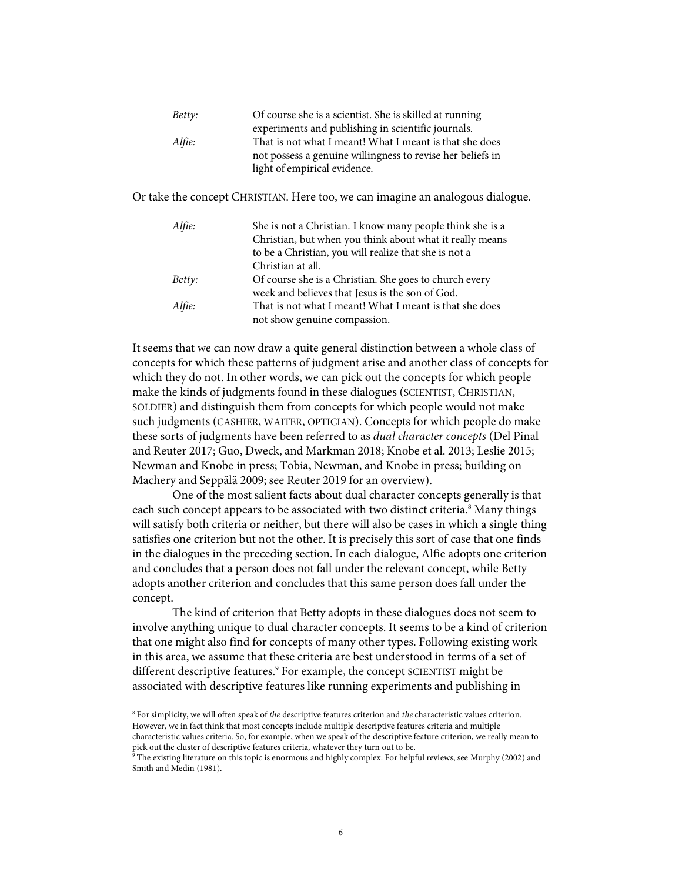| Betty: | Of course she is a scientist. She is skilled at running    |
|--------|------------------------------------------------------------|
|        | experiments and publishing in scientific journals.         |
| Alfie: | That is not what I meant! What I meant is that she does    |
|        | not possess a genuine willingness to revise her beliefs in |
|        | light of empirical evidence.                               |

Or take the concept CHRISTIAN. Here too, we can imagine an analogous dialogue.

| Alfie: | She is not a Christian. I know many people think she is a |
|--------|-----------------------------------------------------------|
|        | Christian, but when you think about what it really means  |
|        | to be a Christian, you will realize that she is not a     |
|        | Christian at all.                                         |
| Betty: | Of course she is a Christian. She goes to church every    |
|        | week and believes that Jesus is the son of God.           |
| Alfie: | That is not what I meant! What I meant is that she does   |
|        | not show genuine compassion.                              |

It seems that we can now draw a quite general distinction between a whole class of concepts for which these patterns of judgment arise and another class of concepts for which they do not. In other words, we can pick out the concepts for which people make the kinds of judgments found in these dialogues (SCIENTIST, CHRISTIAN, SOLDIER) and distinguish them from concepts for which people would not make such judgments (CASHIER, WAITER, OPTICIAN). Concepts for which people do make these sorts of judgments have been referred to as *dual character concepts* (Del Pinal and Reuter 2017; Guo, Dweck, and Markman 2018; Knobe et al. 2013; Leslie 2015; Newman and Knobe in press; Tobia, Newman, and Knobe in press; building on Machery and Seppälä 2009; see Reuter 2019 for an overview).

One of the most salient facts about dual character concepts generally is that each such concept appears to be associated with two distinct criteria.<sup>8</sup> Many things will satisfy both criteria or neither, but there will also be cases in which a single thing satisfies one criterion but not the other. It is precisely this sort of case that one finds in the dialogues in the preceding section. In each dialogue, Alfie adopts one criterion and concludes that a person does not fall under the relevant concept, while Betty adopts another criterion and concludes that this same person does fall under the concept.

The kind of criterion that Betty adopts in these dialogues does not seem to involve anything unique to dual character concepts. It seems to be a kind of criterion that one might also find for concepts of many other types. Following existing work in this area, we assume that these criteria are best understood in terms of a set of different descriptive features.<sup>9</sup> For example, the concept SCIENTIST might be associated with descriptive features like running experiments and publishing in

<sup>8</sup> For simplicity, we will often speak of *the* descriptive features criterion and *the* characteristic values criterion. However, we in fact think that most concepts include multiple descriptive features criteria and multiple characteristic values criteria. So, for example, when we speak of the descriptive feature criterion, we really mean to pick out the cluster of descriptive features criteria, whatever they turn out to be.

<sup>9</sup> The existing literature on this topic is enormous and highly complex. For helpful reviews, see Murphy (2002) and Smith and Medin (1981).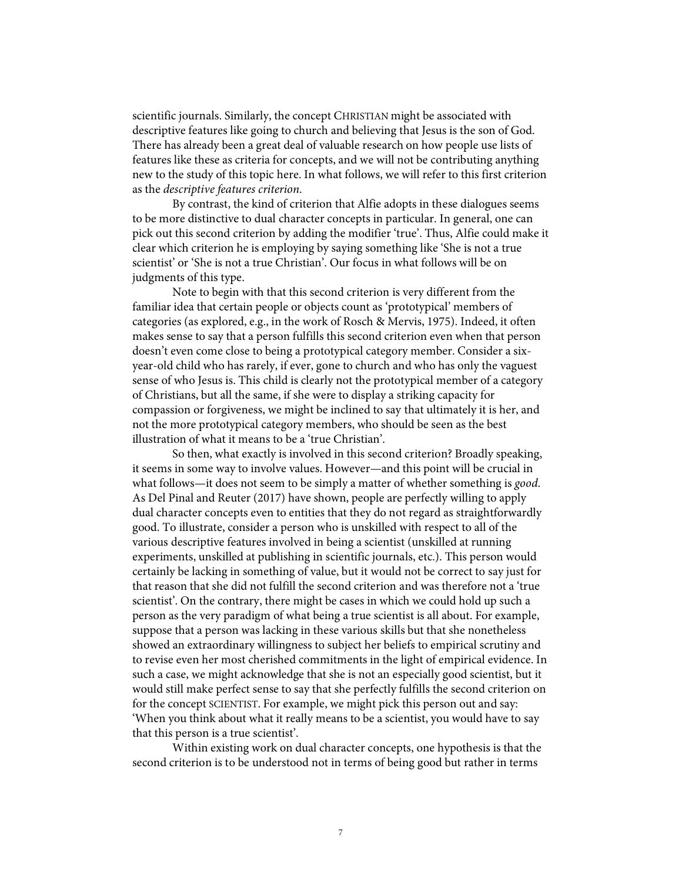scientific journals. Similarly, the concept CHRISTIAN might be associated with descriptive features like going to church and believing that Jesus is the son of God. There has already been a great deal of valuable research on how people use lists of features like these as criteria for concepts, and we will not be contributing anything new to the study of this topic here. In what follows, we will refer to this first criterion as the *descriptive features criterion*.

By contrast, the kind of criterion that Alfie adopts in these dialogues seems to be more distinctive to dual character concepts in particular. In general, one can pick out this second criterion by adding the modifier 'true'. Thus, Alfie could make it clear which criterion he is employing by saying something like 'She is not a true scientist' or 'She is not a true Christian'. Our focus in what follows will be on judgments of this type.

Note to begin with that this second criterion is very different from the familiar idea that certain people or objects count as 'prototypical' members of categories (as explored, e.g., in the work of Rosch & Mervis, 1975). Indeed, it often makes sense to say that a person fulfills this second criterion even when that person doesn't even come close to being a prototypical category member. Consider a sixyear-old child who has rarely, if ever, gone to church and who has only the vaguest sense of who Jesus is. This child is clearly not the prototypical member of a category of Christians, but all the same, if she were to display a striking capacity for compassion or forgiveness, we might be inclined to say that ultimately it is her, and not the more prototypical category members, who should be seen as the best illustration of what it means to be a 'true Christian'.

So then, what exactly is involved in this second criterion? Broadly speaking, it seems in some way to involve values. However—and this point will be crucial in what follows—it does not seem to be simply a matter of whether something is *good*. As Del Pinal and Reuter (2017) have shown, people are perfectly willing to apply dual character concepts even to entities that they do not regard as straightforwardly good. To illustrate, consider a person who is unskilled with respect to all of the various descriptive features involved in being a scientist (unskilled at running experiments, unskilled at publishing in scientific journals, etc.). This person would certainly be lacking in something of value, but it would not be correct to say just for that reason that she did not fulfill the second criterion and was therefore not a 'true scientist'. On the contrary, there might be cases in which we could hold up such a person as the very paradigm of what being a true scientist is all about. For example, suppose that a person was lacking in these various skills but that she nonetheless showed an extraordinary willingness to subject her beliefs to empirical scrutiny and to revise even her most cherished commitments in the light of empirical evidence. In such a case, we might acknowledge that she is not an especially good scientist, but it would still make perfect sense to say that she perfectly fulfills the second criterion on for the concept SCIENTIST. For example, we might pick this person out and say: 'When you think about what it really means to be a scientist, you would have to say that this person is a true scientist'.

Within existing work on dual character concepts, one hypothesis is that the second criterion is to be understood not in terms of being good but rather in terms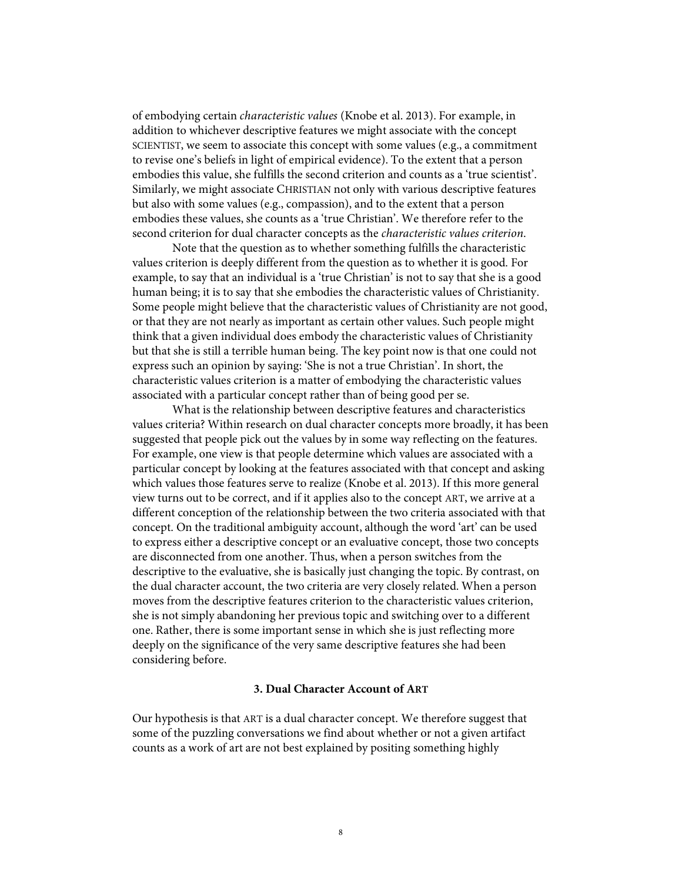of embodying certain *characteristic values* (Knobe et al. 2013). For example, in addition to whichever descriptive features we might associate with the concept SCIENTIST, we seem to associate this concept with some values (e.g., a commitment to revise one's beliefs in light of empirical evidence). To the extent that a person embodies this value, she fulfills the second criterion and counts as a 'true scientist'. Similarly, we might associate CHRISTIAN not only with various descriptive features but also with some values (e.g., compassion), and to the extent that a person embodies these values, she counts as a 'true Christian'. We therefore refer to the second criterion for dual character concepts as the *characteristic values criterion*.

Note that the question as to whether something fulfills the characteristic values criterion is deeply different from the question as to whether it is good. For example, to say that an individual is a 'true Christian' is not to say that she is a good human being; it is to say that she embodies the characteristic values of Christianity. Some people might believe that the characteristic values of Christianity are not good, or that they are not nearly as important as certain other values. Such people might think that a given individual does embody the characteristic values of Christianity but that she is still a terrible human being. The key point now is that one could not express such an opinion by saying: 'She is not a true Christian'. In short, the characteristic values criterion is a matter of embodying the characteristic values associated with a particular concept rather than of being good per se.

What is the relationship between descriptive features and characteristics values criteria? Within research on dual character concepts more broadly, it has been suggested that people pick out the values by in some way reflecting on the features. For example, one view is that people determine which values are associated with a particular concept by looking at the features associated with that concept and asking which values those features serve to realize (Knobe et al. 2013). If this more general view turns out to be correct, and if it applies also to the concept ART, we arrive at a different conception of the relationship between the two criteria associated with that concept. On the traditional ambiguity account, although the word 'art' can be used to express either a descriptive concept or an evaluative concept, those two concepts are disconnected from one another. Thus, when a person switches from the descriptive to the evaluative, she is basically just changing the topic. By contrast, on the dual character account, the two criteria are very closely related. When a person moves from the descriptive features criterion to the characteristic values criterion, she is not simply abandoning her previous topic and switching over to a different one. Rather, there is some important sense in which she is just reflecting more deeply on the significance of the very same descriptive features she had been considering before.

### **3. Dual Character Account of ART**

Our hypothesis is that ART is a dual character concept. We therefore suggest that some of the puzzling conversations we find about whether or not a given artifact counts as a work of art are not best explained by positing something highly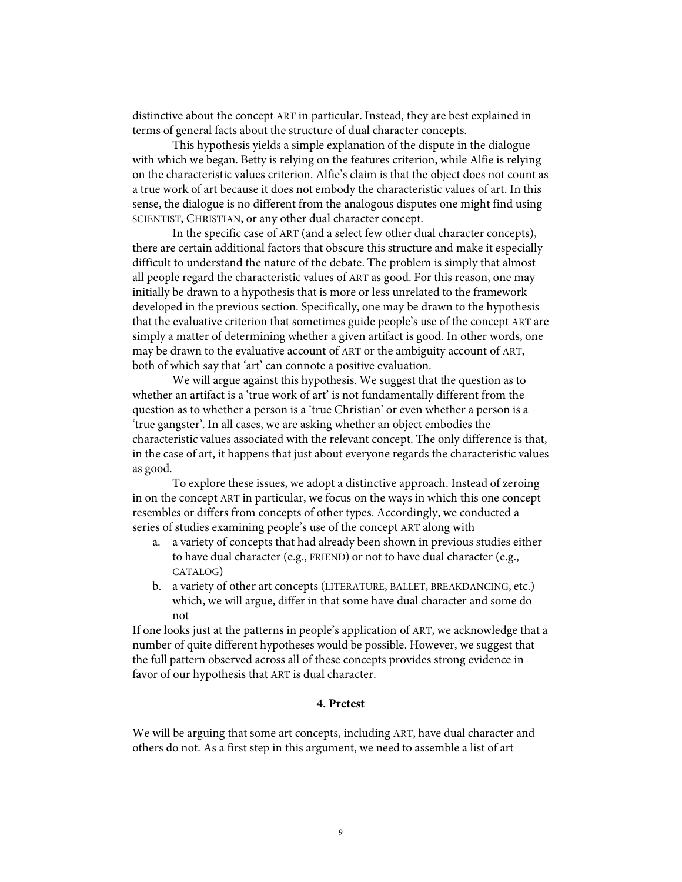distinctive about the concept ART in particular. Instead, they are best explained in terms of general facts about the structure of dual character concepts.

This hypothesis yields a simple explanation of the dispute in the dialogue with which we began. Betty is relying on the features criterion, while Alfie is relying on the characteristic values criterion. Alfie's claim is that the object does not count as a true work of art because it does not embody the characteristic values of art. In this sense, the dialogue is no different from the analogous disputes one might find using SCIENTIST, CHRISTIAN, or any other dual character concept.

In the specific case of ART (and a select few other dual character concepts), there are certain additional factors that obscure this structure and make it especially difficult to understand the nature of the debate. The problem is simply that almost all people regard the characteristic values of ART as good. For this reason, one may initially be drawn to a hypothesis that is more or less unrelated to the framework developed in the previous section. Specifically, one may be drawn to the hypothesis that the evaluative criterion that sometimes guide people's use of the concept ART are simply a matter of determining whether a given artifact is good. In other words, one may be drawn to the evaluative account of ART or the ambiguity account of ART, both of which say that 'art' can connote a positive evaluation.

We will argue against this hypothesis. We suggest that the question as to whether an artifact is a 'true work of art' is not fundamentally different from the question as to whether a person is a 'true Christian' or even whether a person is a 'true gangster'. In all cases, we are asking whether an object embodies the characteristic values associated with the relevant concept. The only difference is that, in the case of art, it happens that just about everyone regards the characteristic values as good.

To explore these issues, we adopt a distinctive approach. Instead of zeroing in on the concept ART in particular, we focus on the ways in which this one concept resembles or differs from concepts of other types. Accordingly, we conducted a series of studies examining people's use of the concept ART along with

- a. a variety of concepts that had already been shown in previous studies either to have dual character (e.g., FRIEND) or not to have dual character (e.g., CATALOG)
- b. a variety of other art concepts (LITERATURE, BALLET, BREAKDANCING, etc.) which, we will argue, differ in that some have dual character and some do not

If one looks just at the patterns in people's application of ART, we acknowledge that a number of quite different hypotheses would be possible. However, we suggest that the full pattern observed across all of these concepts provides strong evidence in favor of our hypothesis that ART is dual character.

#### **4. Pretest**

We will be arguing that some art concepts, including ART, have dual character and others do not. As a first step in this argument, we need to assemble a list of art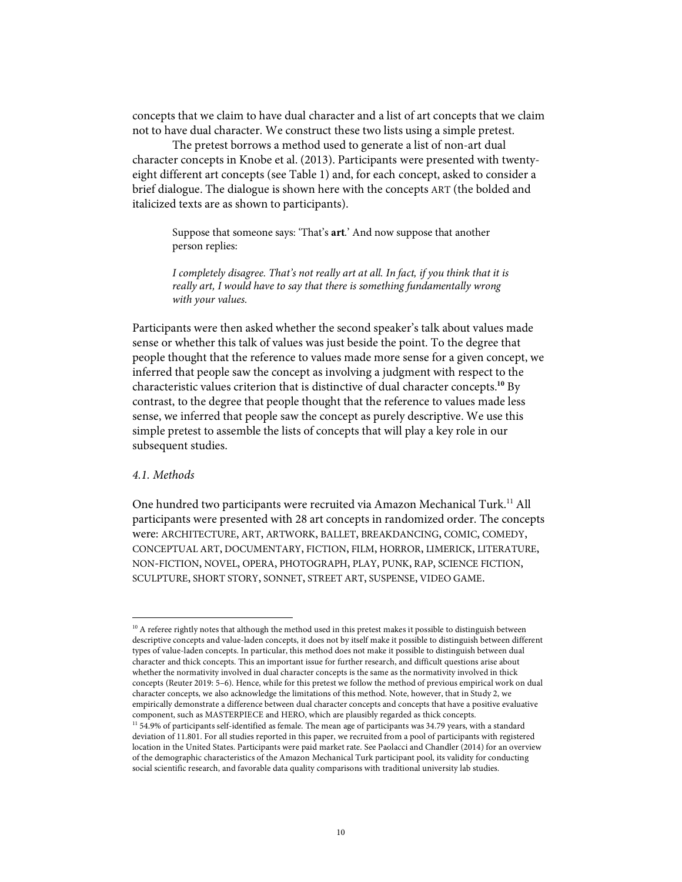concepts that we claim to have dual character and a list of art concepts that we claim not to have dual character. We construct these two lists using a simple pretest.

The pretest borrows a method used to generate a list of non-art dual character concepts in Knobe et al. (2013). Participants were presented with twentyeight different art concepts (see Table 1) and, for each concept, asked to consider a brief dialogue. The dialogue is shown here with the concepts ART (the bolded and italicized texts are as shown to participants).

Suppose that someone says: 'That's **art**.' And now suppose that another person replies:

*I completely disagree. That's not really art at all. In fact, if you think that it is really art, I would have to say that there is something fundamentally wrong with your values.*

Participants were then asked whether the second speaker's talk about values made sense or whether this talk of values was just beside the point. To the degree that people thought that the reference to values made more sense for a given concept, we inferred that people saw the concept as involving a judgment with respect to the characteristic values criterion that is distinctive of dual character concepts.**<sup>10</sup>** By contrast, to the degree that people thought that the reference to values made less sense, we inferred that people saw the concept as purely descriptive. We use this simple pretest to assemble the lists of concepts that will play a key role in our subsequent studies.

## *4.1. Methods*

-

One hundred two participants were recruited via Amazon Mechanical Turk.<sup>11</sup> All participants were presented with 28 art concepts in randomized order. The concepts were: ARCHITECTURE, ART, ARTWORK, BALLET, BREAKDANCING, COMIC, COMEDY, CONCEPTUAL ART, DOCUMENTARY, FICTION, FILM, HORROR, LIMERICK, LITERATURE, NON-FICTION, NOVEL, OPERA, PHOTOGRAPH, PLAY, PUNK, RAP, SCIENCE FICTION, SCULPTURE, SHORT STORY, SONNET, STREET ART, SUSPENSE, VIDEO GAME.

 $10$  A referee rightly notes that although the method used in this pretest makes it possible to distinguish between descriptive concepts and value-laden concepts, it does not by itself make it possible to distinguish between different types of value-laden concepts. In particular, this method does not make it possible to distinguish between dual character and thick concepts. This an important issue for further research, and difficult questions arise about whether the normativity involved in dual character concepts is the same as the normativity involved in thick concepts (Reuter 2019: 5–6). Hence, while for this pretest we follow the method of previous empirical work on dual character concepts, we also acknowledge the limitations of this method. Note, however, that in Study 2, we empirically demonstrate a difference between dual character concepts and concepts that have a positive evaluative component, such as MASTERPIECE and HERO, which are plausibly regarded as thick concepts.

<sup>&</sup>lt;sup>11</sup> 54.9% of participants self-identified as female. The mean age of participants was 34.79 years, with a standard deviation of 11.801. For all studies reported in this paper, we recruited from a pool of participants with registered location in the United States. Participants were paid market rate. See Paolacci and Chandler (2014) for an overview of the demographic characteristics of the Amazon Mechanical Turk participant pool, its validity for conducting social scientific research, and favorable data quality comparisons with traditional university lab studies.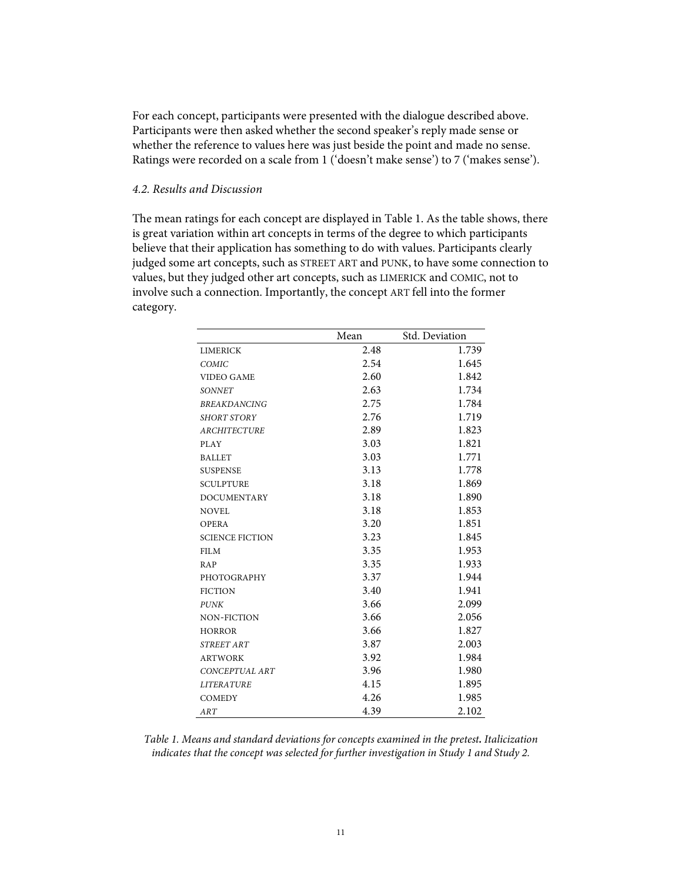For each concept, participants were presented with the dialogue described above. Participants were then asked whether the second speaker's reply made sense or whether the reference to values here was just beside the point and made no sense. Ratings were recorded on a scale from 1 ('doesn't make sense') to 7 ('makes sense').

#### *4.2. Results and Discussion*

The mean ratings for each concept are displayed in Table 1. As the table shows, there is great variation within art concepts in terms of the degree to which participants believe that their application has something to do with values. Participants clearly judged some art concepts, such as STREET ART and PUNK, to have some connection to values, but they judged other art concepts, such as LIMERICK and COMIC, not to involve such a connection. Importantly, the concept ART fell into the former category.

|                        | Mean | Std. Deviation |
|------------------------|------|----------------|
| <b>LIMERICK</b>        | 2.48 | 1.739          |
| COMIC                  | 2.54 | 1.645          |
| <b>VIDEO GAME</b>      | 2.60 | 1.842          |
| <b>SONNET</b>          | 2.63 | 1.734          |
| <b>BREAKDANCING</b>    | 2.75 | 1.784          |
| <b>SHORT STORY</b>     | 2.76 | 1.719          |
| <b>ARCHITECTURE</b>    | 2.89 | 1.823          |
| <b>PLAY</b>            | 3.03 | 1.821          |
| <b>BALLET</b>          | 3.03 | 1.771          |
| <b>SUSPENSE</b>        | 3.13 | 1.778          |
| <b>SCULPTURE</b>       | 3.18 | 1.869          |
| <b>DOCUMENTARY</b>     | 3.18 | 1.890          |
| <b>NOVEL</b>           | 3.18 | 1.853          |
| <b>OPERA</b>           | 3.20 | 1.851          |
| <b>SCIENCE FICTION</b> | 3.23 | 1.845          |
| FILM                   | 3.35 | 1.953          |
| RAP                    | 3.35 | 1.933          |
| PHOTOGRAPHY            | 3.37 | 1.944          |
| <b>FICTION</b>         | 3.40 | 1.941          |
| <b>PUNK</b>            | 3.66 | 2.099          |
| NON-FICTION            | 3.66 | 2.056          |
| <b>HORROR</b>          | 3.66 | 1.827          |
| <b>STREET ART</b>      | 3.87 | 2.003          |
| <b>ARTWORK</b>         | 3.92 | 1.984          |
| CONCEPTUAL ART         | 3.96 | 1.980          |
| <b>LITERATURE</b>      | 4.15 | 1.895          |
| <b>COMEDY</b>          | 4.26 | 1.985          |
| ART                    | 4.39 | 2.102          |

*Table 1. Means and standard deviations for concepts examined in the pretest. Italicization indicates that the concept was selected for further investigation in Study 1 and Study 2.*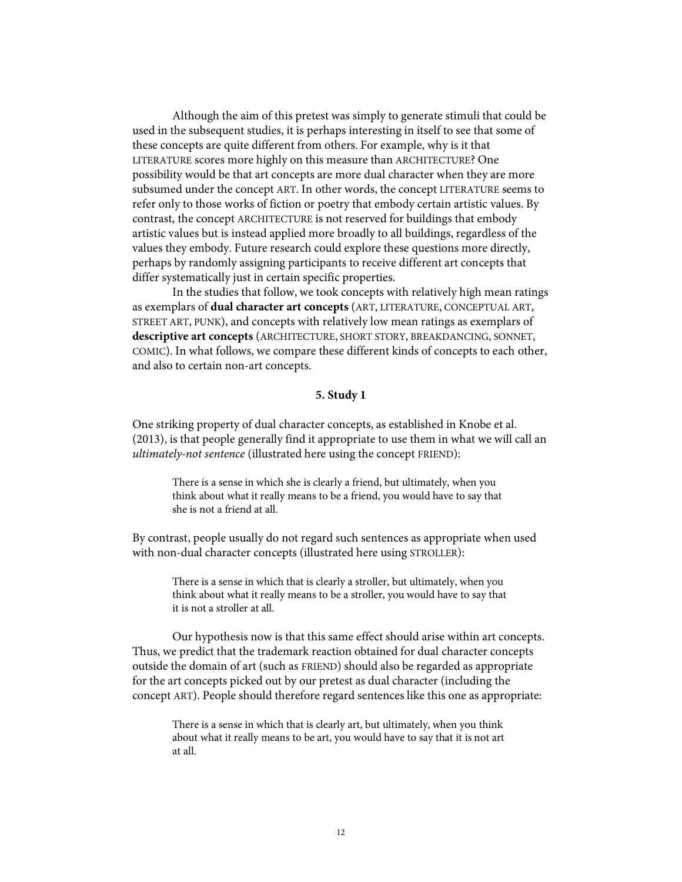Although the aim of this pretest was simply to generate stimuli that could be used in the subsequent studies, it is perhaps interesting in itself to see that some of these concepts are quite different from others. For example, why is it that LITERATURE scores more highly on this measure than ARCHITECTURE? One possibility would be that art concepts are more dual character when they are more subsumed under the concept ART. In other words, the concept LITERATURE seems to refer only to those works of fiction or poetry that embody certain artistic values. By contrast, the concept ARCHITECTURE is not reserved for buildings that embody artistic values but is instead applied more broadly to all buildings, regardless of the values they embody. Future research could explore these questions more directly, perhaps by randomly assigning participants to receive different art concepts that differ systematically just in certain specific properties.

In the studies that follow, we took concepts with relatively high mean ratings as exemplars of **dual character art concepts** (ART, LITERATURE, CONCEPTUAL ART, STREET ART, PUNK), and concepts with relatively low mean ratings as exemplars of **descriptive art concepts** (ARCHITECTURE, SHORT STORY, BREAKDANCING, SONNET, COMIC). In what follows, we compare these different kinds of concepts to each other, and also to certain non-art concepts.

#### **5. Study 1**

One striking property of dual character concepts, as established in Knobe et al. (2013), is that people generally find it appropriate to use them in what we will call an *ultimately-not sentence* (illustrated here using the concept FRIEND):

There is a sense in which she is clearly a friend, but ultimately, when you think about what it really means to be a friend, you would have to say that she is not a friend at all.

By contrast, people usually do not regard such sentences as appropriate when used with non-dual character concepts (illustrated here using STROLLER):

There is a sense in which that is clearly a stroller, but ultimately, when you think about what it really means to be a stroller, you would have to say that it is not a stroller at all.

Our hypothesis now is that this same effect should arise within art concepts. Thus, we predict that the trademark reaction obtained for dual character concepts outside the domain of art (such as FRIEND) should also be regarded as appropriate for the art concepts picked out by our pretest as dual character (including the concept ART). People should therefore regard sentences like this one as appropriate:

There is a sense in which that is clearly art, but ultimately, when you think about what it really means to be art, you would have to say that it is not art at all.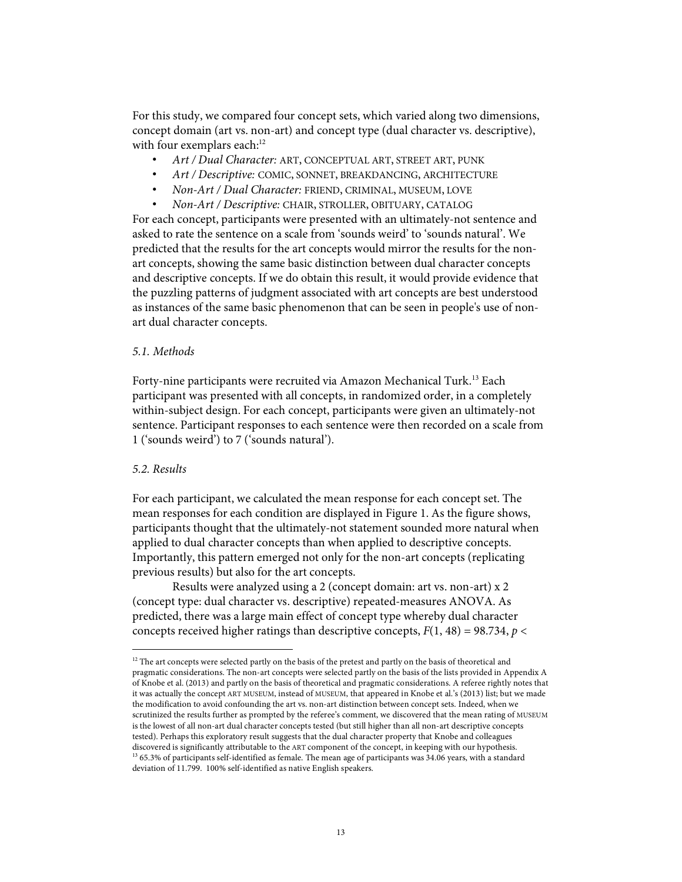For this study, we compared four concept sets, which varied along two dimensions, concept domain (art vs. non-art) and concept type (dual character vs. descriptive), with four exemplars each:<sup>12</sup>

- *Art / Dual Character:* ART, CONCEPTUAL ART, STREET ART, PUNK
- *Art / Descriptive:* COMIC, SONNET, BREAKDANCING, ARCHITECTURE
- *Non-Art / Dual Character:* FRIEND, CRIMINAL, MUSEUM, LOVE
- *Non-Art / Descriptive:* CHAIR, STROLLER, OBITUARY, CATALOG

For each concept, participants were presented with an ultimately-not sentence and asked to rate the sentence on a scale from 'sounds weird' to 'sounds natural'. We predicted that the results for the art concepts would mirror the results for the nonart concepts, showing the same basic distinction between dual character concepts and descriptive concepts. If we do obtain this result, it would provide evidence that the puzzling patterns of judgment associated with art concepts are best understood as instances of the same basic phenomenon that can be seen in people's use of nonart dual character concepts.

# *5.1. Methods*

Forty-nine participants were recruited via Amazon Mechanical Turk.<sup>13</sup> Each participant was presented with all concepts, in randomized order, in a completely within-subject design. For each concept, participants were given an ultimately-not sentence. Participant responses to each sentence were then recorded on a scale from 1 ('sounds weird') to 7 ('sounds natural').

#### *5.2. Results*

-

For each participant, we calculated the mean response for each concept set. The mean responses for each condition are displayed in Figure 1. As the figure shows, participants thought that the ultimately-not statement sounded more natural when applied to dual character concepts than when applied to descriptive concepts. Importantly, this pattern emerged not only for the non-art concepts (replicating previous results) but also for the art concepts.

Results were analyzed using a 2 (concept domain: art vs. non-art) x 2 (concept type: dual character vs. descriptive) repeated-measures ANOVA. As predicted, there was a large main effect of concept type whereby dual character concepts received higher ratings than descriptive concepts,  $F(1, 48) = 98.734$ ,  $p <$ 

 $12$  The art concepts were selected partly on the basis of the pretest and partly on the basis of theoretical and pragmatic considerations. The non-art concepts were selected partly on the basis of the lists provided in Appendix A of Knobe et al. (2013) and partly on the basis of theoretical and pragmatic considerations. A referee rightly notes that it was actually the concept ART MUSEUM, instead of MUSEUM, that appeared in Knobe et al.'s (2013) list; but we made the modification to avoid confounding the art vs. non-art distinction between concept sets. Indeed, when we scrutinized the results further as prompted by the referee's comment, we discovered that the mean rating of MUSEUM is the lowest of all non-art dual character concepts tested (but still higher than all non-art descriptive concepts tested). Perhaps this exploratory result suggests that the dual character property that Knobe and colleagues discovered is significantly attributable to the ART component of the concept, in keeping with our hypothesis.  $^{13}$  65.3% of participants self-identified as female. The mean age of participants was 34.06 years, with a standard deviation of 11.799. 100% self-identified as native English speakers.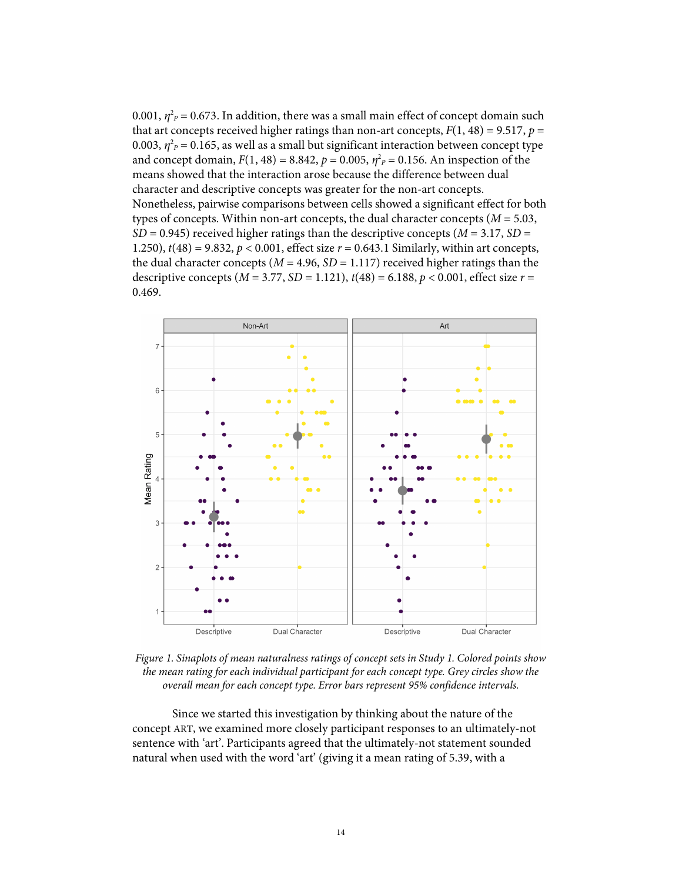0.001,  $\eta^2$ <sub>P</sub> = 0.673. In addition, there was a small main effect of concept domain such that art concepts received higher ratings than non-art concepts,  $F(1, 48) = 9.517$ ,  $p =$ 0.003,  $\eta^2$ <sub>P</sub> = 0.165, as well as a small but significant interaction between concept type and concept domain,  $F(1, 48) = 8.842$ ,  $p = 0.005$ ,  $\eta^2 P = 0.156$ . An inspection of the means showed that the interaction arose because the difference between dual character and descriptive concepts was greater for the non-art concepts. Nonetheless, pairwise comparisons between cells showed a significant effect for both types of concepts. Within non-art concepts, the dual character concepts (*M* = 5.03,  $SD = 0.945$ ) received higher ratings than the descriptive concepts ( $M = 3.17$ ,  $SD = 1.5$ 1.250),  $t(48) = 9.832$ ,  $p < 0.001$ , effect size  $r = 0.643.1$  Similarly, within art concepts, the dual character concepts ( $M = 4.96$ ,  $SD = 1.117$ ) received higher ratings than the descriptive concepts ( $M = 3.77$ ,  $SD = 1.121$ ),  $t(48) = 6.188$ ,  $p < 0.001$ , effect size  $r =$ 0.469.



*Figure 1. Sinaplots of mean naturalness ratings of concept sets in Study 1. Colored points show the mean rating for each individual participant for each concept type. Grey circles show the overall mean for each concept type. Error bars represent 95% confidence intervals.*

Since we started this investigation by thinking about the nature of the concept ART, we examined more closely participant responses to an ultimately-not sentence with 'art'. Participants agreed that the ultimately-not statement sounded natural when used with the word 'art' (giving it a mean rating of 5.39, with a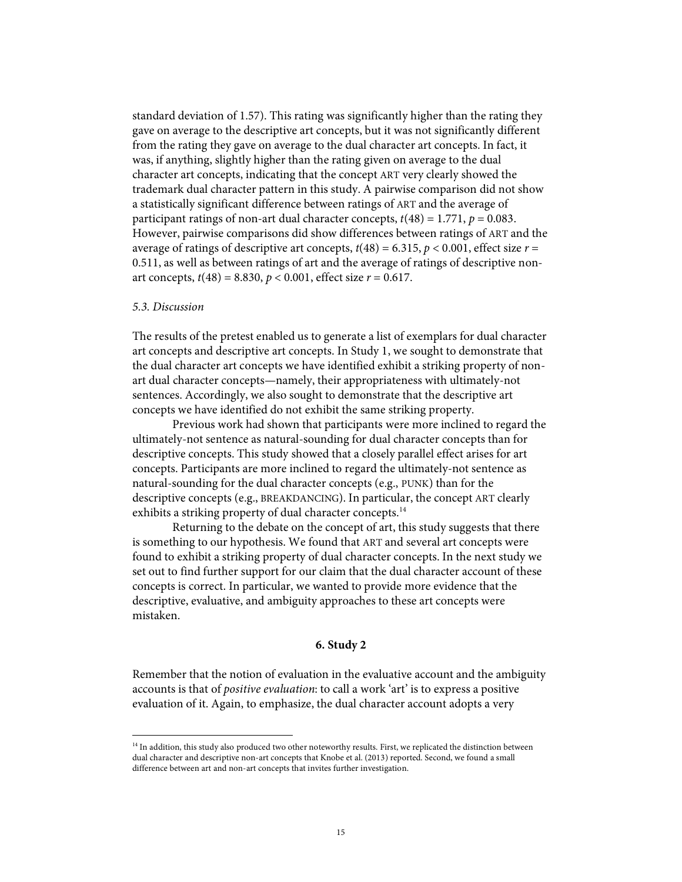standard deviation of 1.57). This rating was significantly higher than the rating they gave on average to the descriptive art concepts, but it was not significantly different from the rating they gave on average to the dual character art concepts. In fact, it was, if anything, slightly higher than the rating given on average to the dual character art concepts, indicating that the concept ART very clearly showed the trademark dual character pattern in this study. A pairwise comparison did not show a statistically significant difference between ratings of ART and the average of participant ratings of non-art dual character concepts,  $t(48) = 1.771$ ,  $p = 0.083$ . However, pairwise comparisons did show differences between ratings of ART and the average of ratings of descriptive art concepts,  $t(48) = 6.315$ ,  $p < 0.001$ , effect size  $r =$ 0.511, as well as between ratings of art and the average of ratings of descriptive nonart concepts,  $t(48) = 8.830, p < 0.001$ , effect size  $r = 0.617$ .

#### *5.3. Discussion*

-

The results of the pretest enabled us to generate a list of exemplars for dual character art concepts and descriptive art concepts. In Study 1, we sought to demonstrate that the dual character art concepts we have identified exhibit a striking property of nonart dual character concepts—namely, their appropriateness with ultimately-not sentences. Accordingly, we also sought to demonstrate that the descriptive art concepts we have identified do not exhibit the same striking property.

Previous work had shown that participants were more inclined to regard the ultimately-not sentence as natural-sounding for dual character concepts than for descriptive concepts. This study showed that a closely parallel effect arises for art concepts. Participants are more inclined to regard the ultimately-not sentence as natural-sounding for the dual character concepts (e.g., PUNK) than for the descriptive concepts (e.g., BREAKDANCING). In particular, the concept ART clearly exhibits a striking property of dual character concepts.<sup>14</sup>

Returning to the debate on the concept of art, this study suggests that there is something to our hypothesis. We found that ART and several art concepts were found to exhibit a striking property of dual character concepts. In the next study we set out to find further support for our claim that the dual character account of these concepts is correct. In particular, we wanted to provide more evidence that the descriptive, evaluative, and ambiguity approaches to these art concepts were mistaken.

# **6. Study 2**

Remember that the notion of evaluation in the evaluative account and the ambiguity accounts is that of *positive evaluation*: to call a work 'art' is to express a positive evaluation of it. Again, to emphasize, the dual character account adopts a very

<sup>&</sup>lt;sup>14</sup> In addition, this study also produced two other noteworthy results. First, we replicated the distinction between dual character and descriptive non-art concepts that Knobe et al. (2013) reported. Second, we found a small difference between art and non-art concepts that invites further investigation.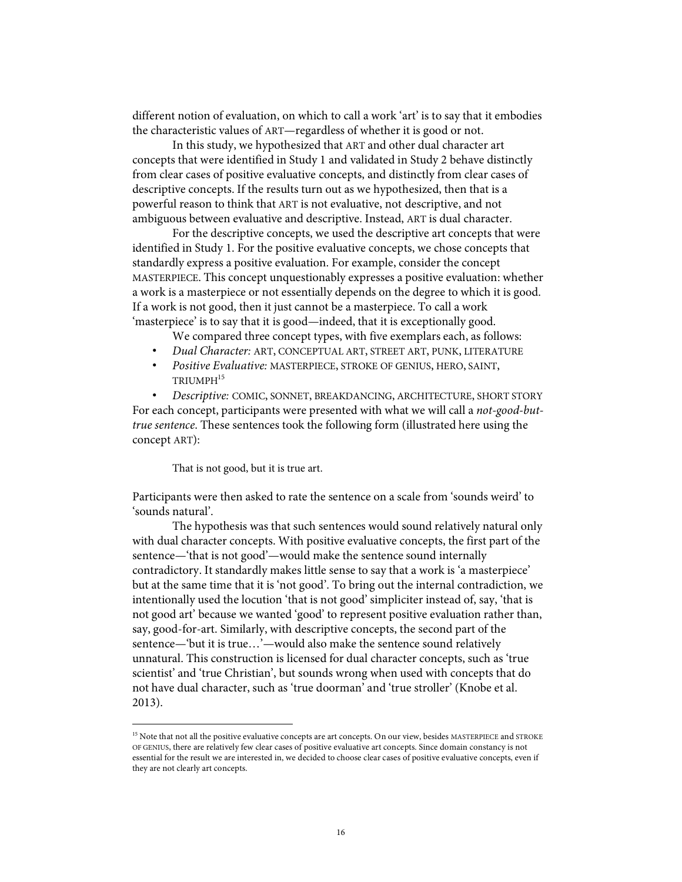different notion of evaluation, on which to call a work 'art' is to say that it embodies the characteristic values of ART—regardless of whether it is good or not.

In this study, we hypothesized that ART and other dual character art concepts that were identified in Study 1 and validated in Study 2 behave distinctly from clear cases of positive evaluative concepts, and distinctly from clear cases of descriptive concepts. If the results turn out as we hypothesized, then that is a powerful reason to think that ART is not evaluative, not descriptive, and not ambiguous between evaluative and descriptive. Instead, ART is dual character.

For the descriptive concepts, we used the descriptive art concepts that were identified in Study 1. For the positive evaluative concepts, we chose concepts that standardly express a positive evaluation. For example, consider the concept MASTERPIECE. This concept unquestionably expresses a positive evaluation: whether a work is a masterpiece or not essentially depends on the degree to which it is good. If a work is not good, then it just cannot be a masterpiece. To call a work 'masterpiece' is to say that it is good—indeed, that it is exceptionally good.

We compared three concept types, with five exemplars each, as follows:

- *Dual Character:* ART, CONCEPTUAL ART, STREET ART, PUNK, LITERATURE
- *Positive Evaluative:* MASTERPIECE, STROKE OF GENIUS, HERO, SAINT, TRIUMPH15

• *Descriptive:* COMIC, SONNET, BREAKDANCING, ARCHITECTURE, SHORT STORY For each concept, participants were presented with what we will call a *not-good-buttrue sentence*. These sentences took the following form (illustrated here using the concept ART):

That is not good, but it is true art.

-

Participants were then asked to rate the sentence on a scale from 'sounds weird' to 'sounds natural'.

The hypothesis was that such sentences would sound relatively natural only with dual character concepts. With positive evaluative concepts, the first part of the sentence—'that is not good'—would make the sentence sound internally contradictory. It standardly makes little sense to say that a work is 'a masterpiece' but at the same time that it is 'not good'. To bring out the internal contradiction, we intentionally used the locution 'that is not good' simpliciter instead of, say, 'that is not good art' because we wanted 'good' to represent positive evaluation rather than, say, good-for-art. Similarly, with descriptive concepts, the second part of the sentence—'but it is true…'—would also make the sentence sound relatively unnatural. This construction is licensed for dual character concepts, such as 'true scientist' and 'true Christian', but sounds wrong when used with concepts that do not have dual character, such as 'true doorman' and 'true stroller' (Knobe et al. 2013).

<sup>&</sup>lt;sup>15</sup> Note that not all the positive evaluative concepts are art concepts. On our view, besides MASTERPIECE and STROKE OF GENIUS, there are relatively few clear cases of positive evaluative art concepts. Since domain constancy is not essential for the result we are interested in, we decided to choose clear cases of positive evaluative concepts, even if they are not clearly art concepts.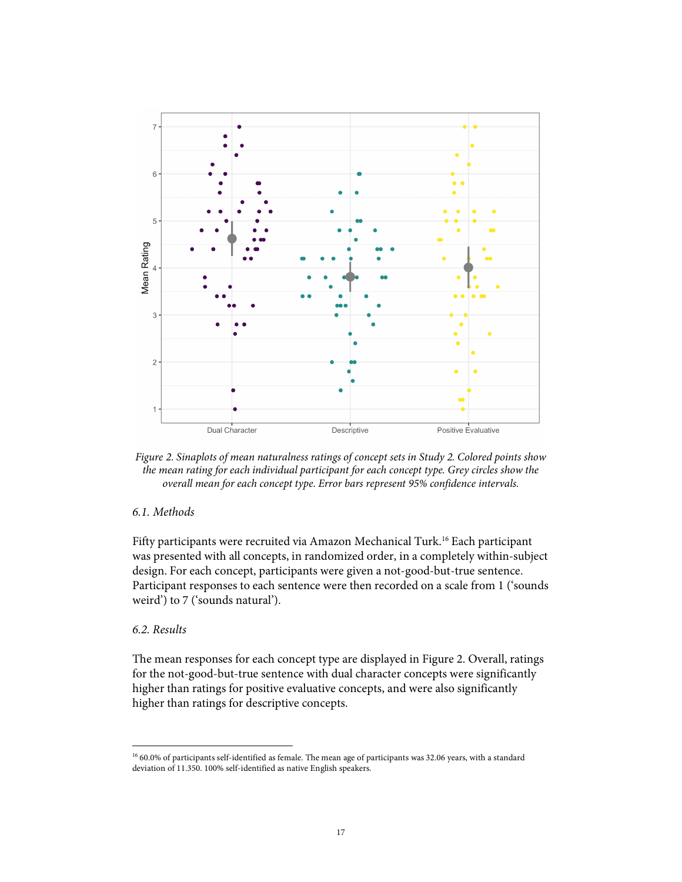

*Figure 2. Sinaplots of mean naturalness ratings of concept sets in Study 2. Colored points show the mean rating for each individual participant for each concept type. Grey circles show the overall mean for each concept type. Error bars represent 95% confidence intervals.*

#### *6.1. Methods*

Fifty participants were recruited via Amazon Mechanical Turk.<sup>16</sup> Each participant was presented with all concepts, in randomized order, in a completely within-subject design. For each concept, participants were given a not-good-but-true sentence. Participant responses to each sentence were then recorded on a scale from 1 ('sounds weird') to 7 ('sounds natural').

#### *6.2. Results*

<u>.</u>

The mean responses for each concept type are displayed in Figure 2. Overall, ratings for the not-good-but-true sentence with dual character concepts were significantly higher than ratings for positive evaluative concepts, and were also significantly higher than ratings for descriptive concepts.

 $^{16}$  60.0% of participants self-identified as female. The mean age of participants was 32.06 years, with a standard deviation of 11.350. 100% self-identified as native English speakers.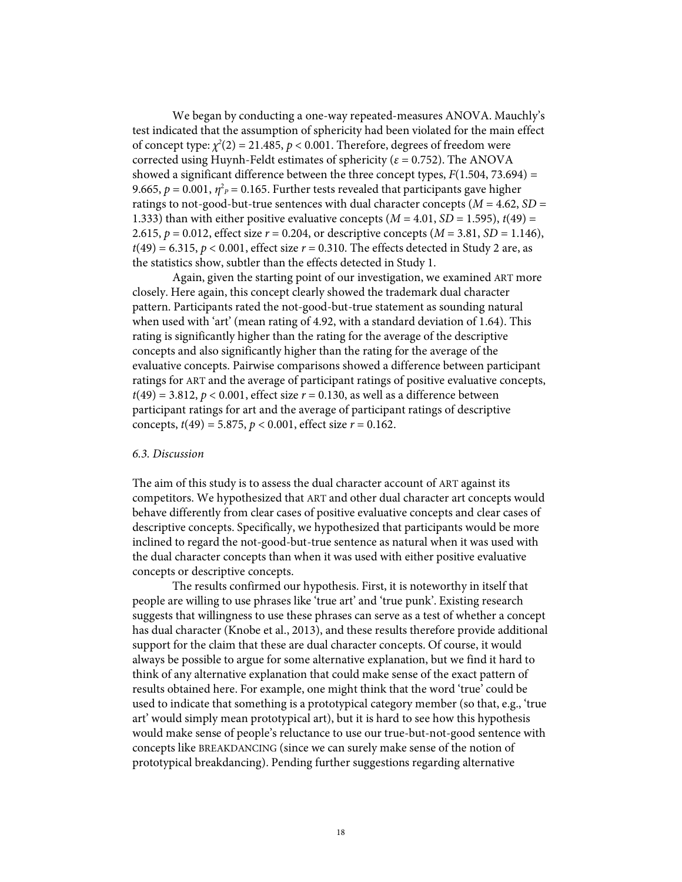We began by conducting a one-way repeated-measures ANOVA. Mauchly's test indicated that the assumption of sphericity had been violated for the main effect of concept type:  $\chi^2(2) = 21.485$ ,  $p < 0.001$ . Therefore, degrees of freedom were corrected using Huynh-Feldt estimates of sphericity ( $\varepsilon$  = 0.752). The ANOVA showed a significant difference between the three concept types, *F*(1.504, 73.694) = 9.665,  $p = 0.001$ ,  $\eta^2$ <sub>*P*</sub> = 0.165. Further tests revealed that participants gave higher ratings to not-good-but-true sentences with dual character concepts ( $M = 4.62$ ,  $SD =$ 1.333) than with either positive evaluative concepts  $(M = 4.01, SD = 1.595)$ ,  $t(49) =$ 2.615,  $p = 0.012$ , effect size  $r = 0.204$ , or descriptive concepts ( $M = 3.81$ ,  $SD = 1.146$ ),  $t(49) = 6.315$ ,  $p < 0.001$ , effect size  $r = 0.310$ . The effects detected in Study 2 are, as the statistics show, subtler than the effects detected in Study 1.

Again, given the starting point of our investigation, we examined ART more closely. Here again, this concept clearly showed the trademark dual character pattern. Participants rated the not-good-but-true statement as sounding natural when used with 'art' (mean rating of 4.92, with a standard deviation of 1.64). This rating is significantly higher than the rating for the average of the descriptive concepts and also significantly higher than the rating for the average of the evaluative concepts. Pairwise comparisons showed a difference between participant ratings for ART and the average of participant ratings of positive evaluative concepts,  $t(49) = 3.812$ ,  $p < 0.001$ , effect size  $r = 0.130$ , as well as a difference between participant ratings for art and the average of participant ratings of descriptive concepts,  $t(49) = 5.875$ ,  $p < 0.001$ , effect size  $r = 0.162$ .

#### *6.3. Discussion*

The aim of this study is to assess the dual character account of ART against its competitors. We hypothesized that ART and other dual character art concepts would behave differently from clear cases of positive evaluative concepts and clear cases of descriptive concepts. Specifically, we hypothesized that participants would be more inclined to regard the not-good-but-true sentence as natural when it was used with the dual character concepts than when it was used with either positive evaluative concepts or descriptive concepts.

The results confirmed our hypothesis. First, it is noteworthy in itself that people are willing to use phrases like 'true art' and 'true punk'. Existing research suggests that willingness to use these phrases can serve as a test of whether a concept has dual character (Knobe et al., 2013), and these results therefore provide additional support for the claim that these are dual character concepts. Of course, it would always be possible to argue for some alternative explanation, but we find it hard to think of any alternative explanation that could make sense of the exact pattern of results obtained here. For example, one might think that the word 'true' could be used to indicate that something is a prototypical category member (so that, e.g., 'true art' would simply mean prototypical art), but it is hard to see how this hypothesis would make sense of people's reluctance to use our true-but-not-good sentence with concepts like BREAKDANCING (since we can surely make sense of the notion of prototypical breakdancing). Pending further suggestions regarding alternative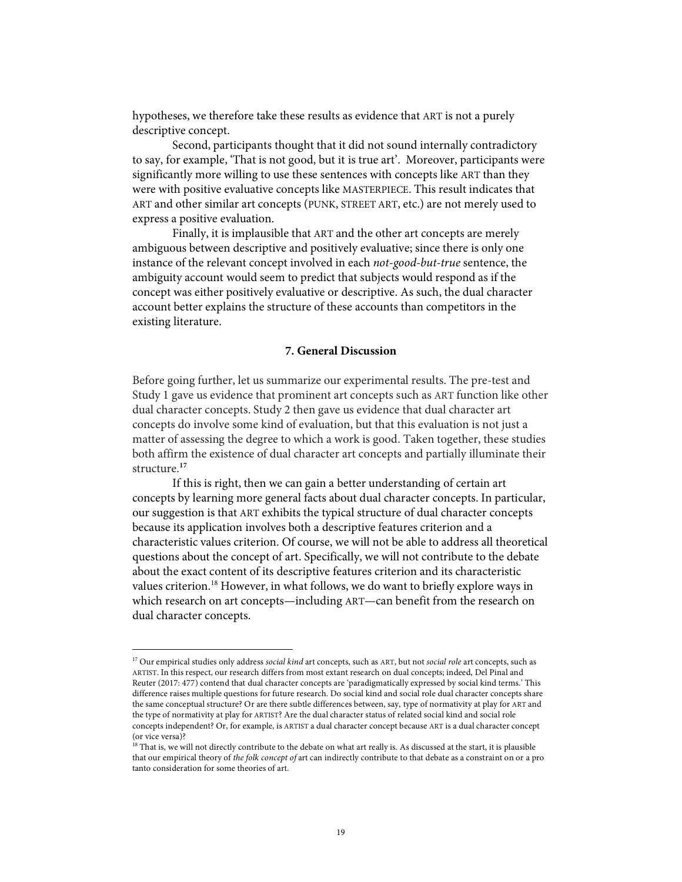hypotheses, we therefore take these results as evidence that ART is not a purely descriptive concept.

Second, participants thought that it did not sound internally contradictory to say, for example, 'That is not good, but it is true art'. Moreover, participants were significantly more willing to use these sentences with concepts like ART than they were with positive evaluative concepts like MASTERPIECE. This result indicates that ART and other similar art concepts (PUNK, STREET ART, etc.) are not merely used to express a positive evaluation.

Finally, it is implausible that ART and the other art concepts are merely ambiguous between descriptive and positively evaluative; since there is only one instance of the relevant concept involved in each *not-good-but-true* sentence, the ambiguity account would seem to predict that subjects would respond as if the concept was either positively evaluative or descriptive. As such, the dual character account better explains the structure of these accounts than competitors in the existing literature.

# **7. General Discussion**

Before going further, let us summarize our experimental results. The pre-test and Study 1 gave us evidence that prominent art concepts such as ART function like other dual character concepts. Study 2 then gave us evidence that dual character art concepts do involve some kind of evaluation, but that this evaluation is not just a matter of assessing the degree to which a work is good. Taken together, these studies both affirm the existence of dual character art concepts and partially illuminate their structure.**<sup>17</sup>**

If this is right, then we can gain a better understanding of certain art concepts by learning more general facts about dual character concepts. In particular, our suggestion is that ART exhibits the typical structure of dual character concepts because its application involves both a descriptive features criterion and a characteristic values criterion. Of course, we will not be able to address all theoretical questions about the concept of art. Specifically, we will not contribute to the debate about the exact content of its descriptive features criterion and its characteristic values criterion.18 However, in what follows, we do want to briefly explore ways in which research on art concepts—including ART—can benefit from the research on dual character concepts.

<sup>17</sup> Our empirical studies only address *social kind* art concepts, such as ART, but not *social role* art concepts, such as ARTIST. In this respect, our research differs from most extant research on dual concepts; indeed, Del Pinal and Reuter (2017: 477) contend that dual character concepts are 'paradigmatically expressed by social kind terms.' This difference raises multiple questions for future research. Do social kind and social role dual character concepts share the same conceptual structure? Or are there subtle differences between, say, type of normativity at play for ART and the type of normativity at play for ARTIST? Are the dual character status of related social kind and social role concepts independent? Or, for example, is ARTIST a dual character concept because ART is a dual character concept (or vice versa)?

<sup>&</sup>lt;sup>18</sup> That is, we will not directly contribute to the debate on what art really is. As discussed at the start, it is plausible that our empirical theory of *the folk concept of* art can indirectly contribute to that debate as a constraint on or a pro tanto consideration for some theories of art.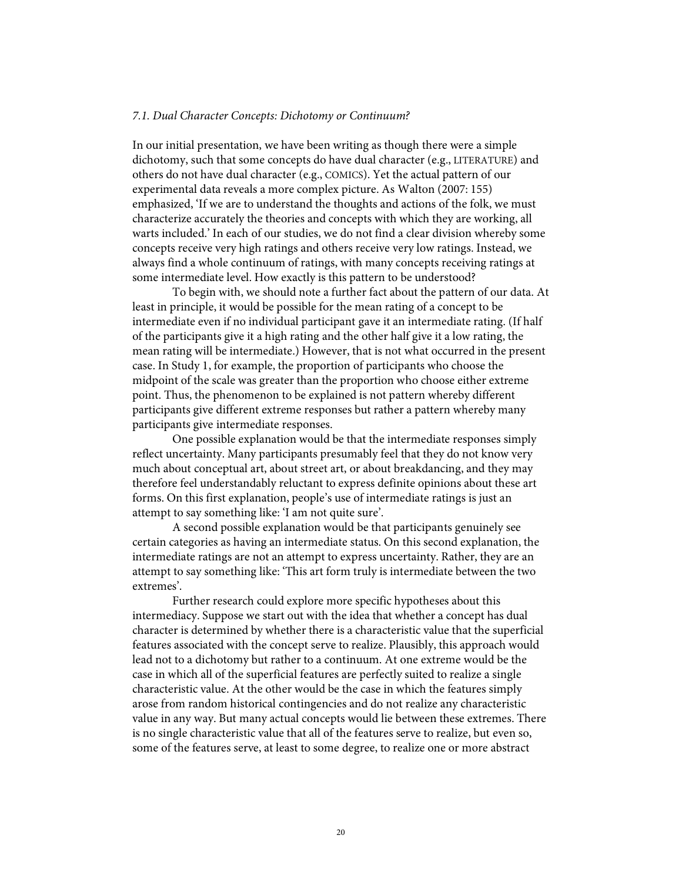#### *7.1. Dual Character Concepts: Dichotomy or Continuum?*

In our initial presentation, we have been writing as though there were a simple dichotomy, such that some concepts do have dual character (e.g., LITERATURE) and others do not have dual character (e.g., COMICS). Yet the actual pattern of our experimental data reveals a more complex picture. As Walton (2007: 155) emphasized, 'If we are to understand the thoughts and actions of the folk, we must characterize accurately the theories and concepts with which they are working, all warts included.' In each of our studies, we do not find a clear division whereby some concepts receive very high ratings and others receive very low ratings. Instead, we always find a whole continuum of ratings, with many concepts receiving ratings at some intermediate level. How exactly is this pattern to be understood?

To begin with, we should note a further fact about the pattern of our data. At least in principle, it would be possible for the mean rating of a concept to be intermediate even if no individual participant gave it an intermediate rating. (If half of the participants give it a high rating and the other half give it a low rating, the mean rating will be intermediate.) However, that is not what occurred in the present case. In Study 1, for example, the proportion of participants who choose the midpoint of the scale was greater than the proportion who choose either extreme point. Thus, the phenomenon to be explained is not pattern whereby different participants give different extreme responses but rather a pattern whereby many participants give intermediate responses.

One possible explanation would be that the intermediate responses simply reflect uncertainty. Many participants presumably feel that they do not know very much about conceptual art, about street art, or about breakdancing, and they may therefore feel understandably reluctant to express definite opinions about these art forms. On this first explanation, people's use of intermediate ratings is just an attempt to say something like: 'I am not quite sure'.

A second possible explanation would be that participants genuinely see certain categories as having an intermediate status. On this second explanation, the intermediate ratings are not an attempt to express uncertainty. Rather, they are an attempt to say something like: 'This art form truly is intermediate between the two extremes'.

Further research could explore more specific hypotheses about this intermediacy. Suppose we start out with the idea that whether a concept has dual character is determined by whether there is a characteristic value that the superficial features associated with the concept serve to realize. Plausibly, this approach would lead not to a dichotomy but rather to a continuum. At one extreme would be the case in which all of the superficial features are perfectly suited to realize a single characteristic value. At the other would be the case in which the features simply arose from random historical contingencies and do not realize any characteristic value in any way. But many actual concepts would lie between these extremes. There is no single characteristic value that all of the features serve to realize, but even so, some of the features serve, at least to some degree, to realize one or more abstract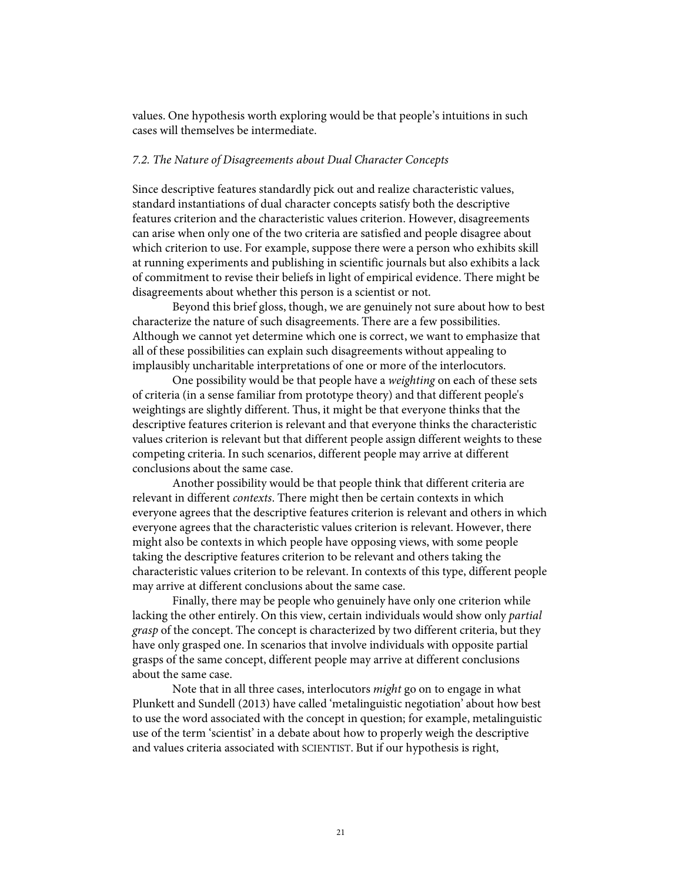values. One hypothesis worth exploring would be that people's intuitions in such cases will themselves be intermediate.

# *7.2. The Nature of Disagreements about Dual Character Concepts*

Since descriptive features standardly pick out and realize characteristic values, standard instantiations of dual character concepts satisfy both the descriptive features criterion and the characteristic values criterion. However, disagreements can arise when only one of the two criteria are satisfied and people disagree about which criterion to use. For example, suppose there were a person who exhibits skill at running experiments and publishing in scientific journals but also exhibits a lack of commitment to revise their beliefs in light of empirical evidence. There might be disagreements about whether this person is a scientist or not.

Beyond this brief gloss, though, we are genuinely not sure about how to best characterize the nature of such disagreements. There are a few possibilities. Although we cannot yet determine which one is correct, we want to emphasize that all of these possibilities can explain such disagreements without appealing to implausibly uncharitable interpretations of one or more of the interlocutors.

One possibility would be that people have a *weighting* on each of these sets of criteria (in a sense familiar from prototype theory) and that different people's weightings are slightly different. Thus, it might be that everyone thinks that the descriptive features criterion is relevant and that everyone thinks the characteristic values criterion is relevant but that different people assign different weights to these competing criteria. In such scenarios, different people may arrive at different conclusions about the same case.

Another possibility would be that people think that different criteria are relevant in different *contexts*. There might then be certain contexts in which everyone agrees that the descriptive features criterion is relevant and others in which everyone agrees that the characteristic values criterion is relevant. However, there might also be contexts in which people have opposing views, with some people taking the descriptive features criterion to be relevant and others taking the characteristic values criterion to be relevant. In contexts of this type, different people may arrive at different conclusions about the same case.

Finally, there may be people who genuinely have only one criterion while lacking the other entirely. On this view, certain individuals would show only *partial grasp* of the concept. The concept is characterized by two different criteria, but they have only grasped one. In scenarios that involve individuals with opposite partial grasps of the same concept, different people may arrive at different conclusions about the same case.

Note that in all three cases, interlocutors *might* go on to engage in what Plunkett and Sundell (2013) have called 'metalinguistic negotiation' about how best to use the word associated with the concept in question; for example, metalinguistic use of the term 'scientist' in a debate about how to properly weigh the descriptive and values criteria associated with SCIENTIST. But if our hypothesis is right,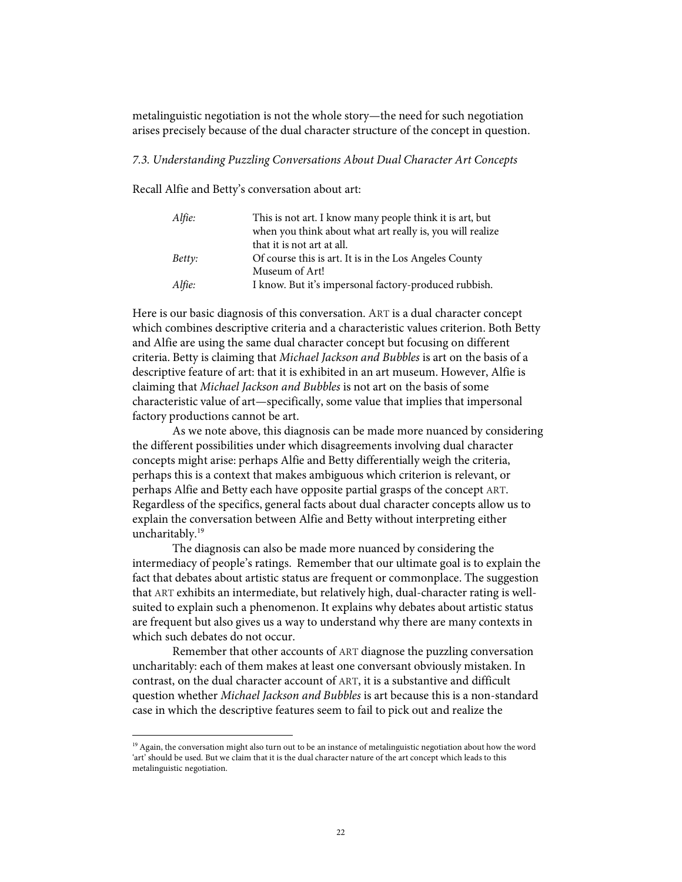metalinguistic negotiation is not the whole story—the need for such negotiation arises precisely because of the dual character structure of the concept in question.

# *7.3. Understanding Puzzling Conversations About Dual Character Art Concepts*

Recall Alfie and Betty's conversation about art:

| Alfie: | This is not art. I know many people think it is art, but  |
|--------|-----------------------------------------------------------|
|        | when you think about what art really is, you will realize |
|        | that it is not art at all.                                |
| Betty: | Of course this is art. It is in the Los Angeles County    |
|        | Museum of Art!                                            |
| Alfie: | I know. But it's impersonal factory-produced rubbish.     |

Here is our basic diagnosis of this conversation. ART is a dual character concept which combines descriptive criteria and a characteristic values criterion. Both Betty and Alfie are using the same dual character concept but focusing on different criteria. Betty is claiming that *Michael Jackson and Bubbles* is art on the basis of a descriptive feature of art: that it is exhibited in an art museum. However, Alfie is claiming that *Michael Jackson and Bubbles* is not art on the basis of some characteristic value of art—specifically, some value that implies that impersonal factory productions cannot be art.

As we note above, this diagnosis can be made more nuanced by considering the different possibilities under which disagreements involving dual character concepts might arise: perhaps Alfie and Betty differentially weigh the criteria, perhaps this is a context that makes ambiguous which criterion is relevant, or perhaps Alfie and Betty each have opposite partial grasps of the concept ART. Regardless of the specifics, general facts about dual character concepts allow us to explain the conversation between Alfie and Betty without interpreting either uncharitably.<sup>19</sup>

The diagnosis can also be made more nuanced by considering the intermediacy of people's ratings. Remember that our ultimate goal is to explain the fact that debates about artistic status are frequent or commonplace. The suggestion that ART exhibits an intermediate, but relatively high, dual-character rating is wellsuited to explain such a phenomenon. It explains why debates about artistic status are frequent but also gives us a way to understand why there are many contexts in which such debates do not occur.

Remember that other accounts of ART diagnose the puzzling conversation uncharitably: each of them makes at least one conversant obviously mistaken. In contrast, on the dual character account of ART, it is a substantive and difficult question whether *Michael Jackson and Bubbles* is art because this is a non-standard case in which the descriptive features seem to fail to pick out and realize the

<sup>&</sup>lt;sup>19</sup> Again, the conversation might also turn out to be an instance of metalinguistic negotiation about how the word 'art' should be used. But we claim that it is the dual character nature of the art concept which leads to this metalinguistic negotiation.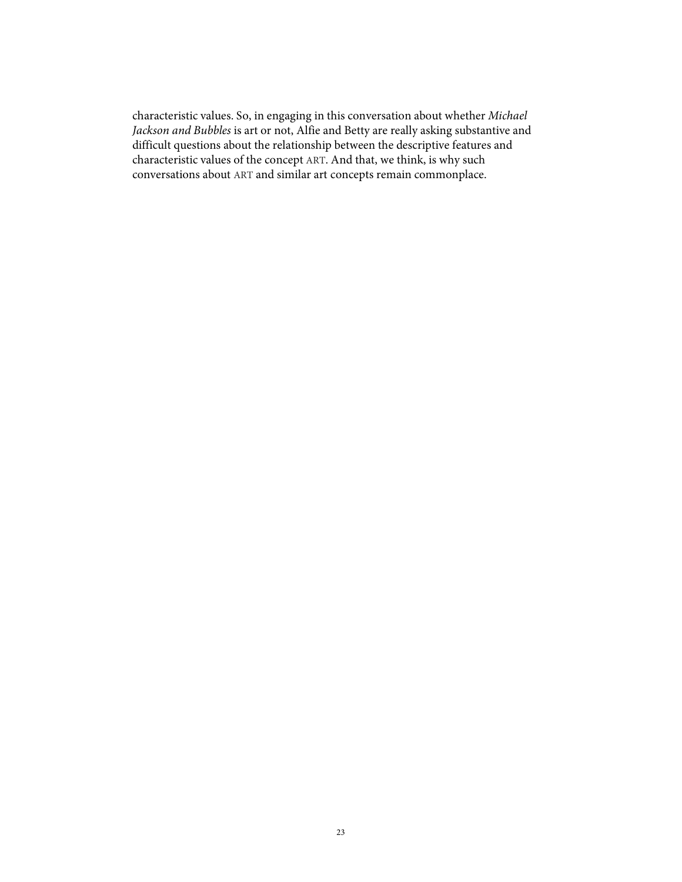characteristic values. So, in engaging in this conversation about whether *Michael Jackson and Bubbles* is art or not, Alfie and Betty are really asking substantive and difficult questions about the relationship between the descriptive features and characteristic values of the concept ART. And that, we think, is why such conversations about ART and similar art concepts remain commonplace.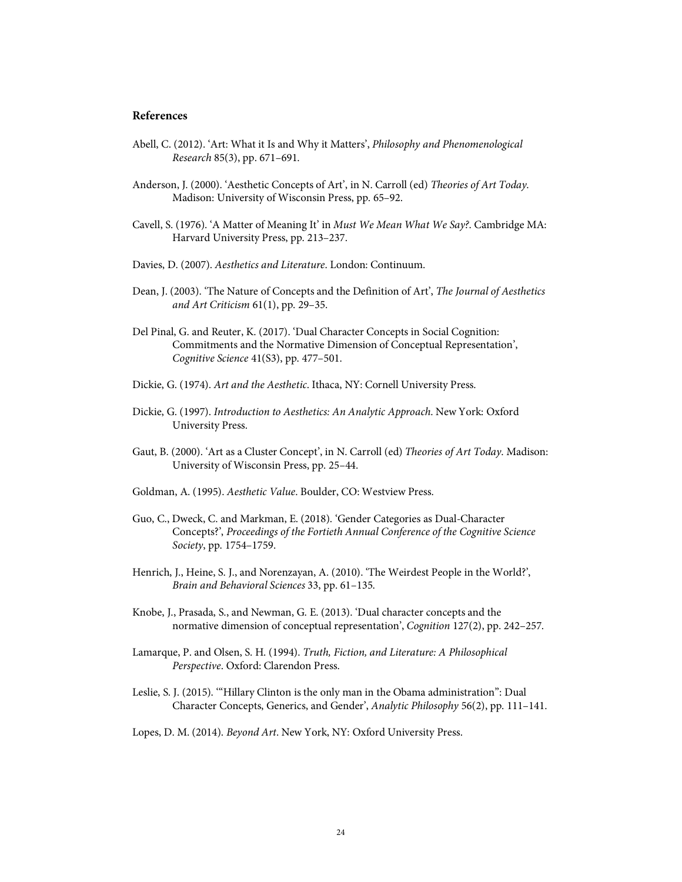#### **References**

- Abell, C. (2012). 'Art: What it Is and Why it Matters', *Philosophy and Phenomenological Research* 85(3), pp. 671–691.
- Anderson, J. (2000). 'Aesthetic Concepts of Art', in N. Carroll (ed) *Theories of Art Today*. Madison: University of Wisconsin Press, pp. 65–92.
- Cavell, S. (1976). 'A Matter of Meaning It' in *Must We Mean What We Say?*. Cambridge MA: Harvard University Press, pp. 213–237.
- Davies, D. (2007). *Aesthetics and Literature*. London: Continuum.
- Dean, J. (2003). 'The Nature of Concepts and the Definition of Art', *The Journal of Aesthetics and Art Criticism* 61(1), pp. 29–35.
- Del Pinal, G. and Reuter, K. (2017). 'Dual Character Concepts in Social Cognition: Commitments and the Normative Dimension of Conceptual Representation', *Cognitive Science* 41(S3), pp. 477–501.
- Dickie, G. (1974). *Art and the Aesthetic*. Ithaca, NY: Cornell University Press.
- Dickie, G. (1997). *Introduction to Aesthetics: An Analytic Approach*. New York: Oxford University Press.
- Gaut, B. (2000). 'Art as a Cluster Concept', in N. Carroll (ed) *Theories of Art Today*. Madison: University of Wisconsin Press, pp. 25–44.
- Goldman, A. (1995). *Aesthetic Value*. Boulder, CO: Westview Press.
- Guo, C., Dweck, C. and Markman, E. (2018). 'Gender Categories as Dual-Character Concepts?', *Proceedings of the Fortieth Annual Conference of the Cognitive Science Society*, pp. 1754–1759.
- Henrich, J., Heine, S. J., and Norenzayan, A. (2010). 'The Weirdest People in the World?', *Brain and Behavioral Sciences* 33, pp. 61–135.
- Knobe, J., Prasada, S., and Newman, G. E. (2013). 'Dual character concepts and the normative dimension of conceptual representation', *Cognition* 127(2), pp. 242–257.
- Lamarque, P. and Olsen, S. H. (1994). *Truth, Fiction, and Literature: A Philosophical Perspective*. Oxford: Clarendon Press.
- Leslie, S. J. (2015). '"Hillary Clinton is the only man in the Obama administration": Dual Character Concepts, Generics, and Gender', *Analytic Philosophy* 56(2), pp. 111–141.
- Lopes, D. M. (2014). *Beyond Art*. New York, NY: Oxford University Press.